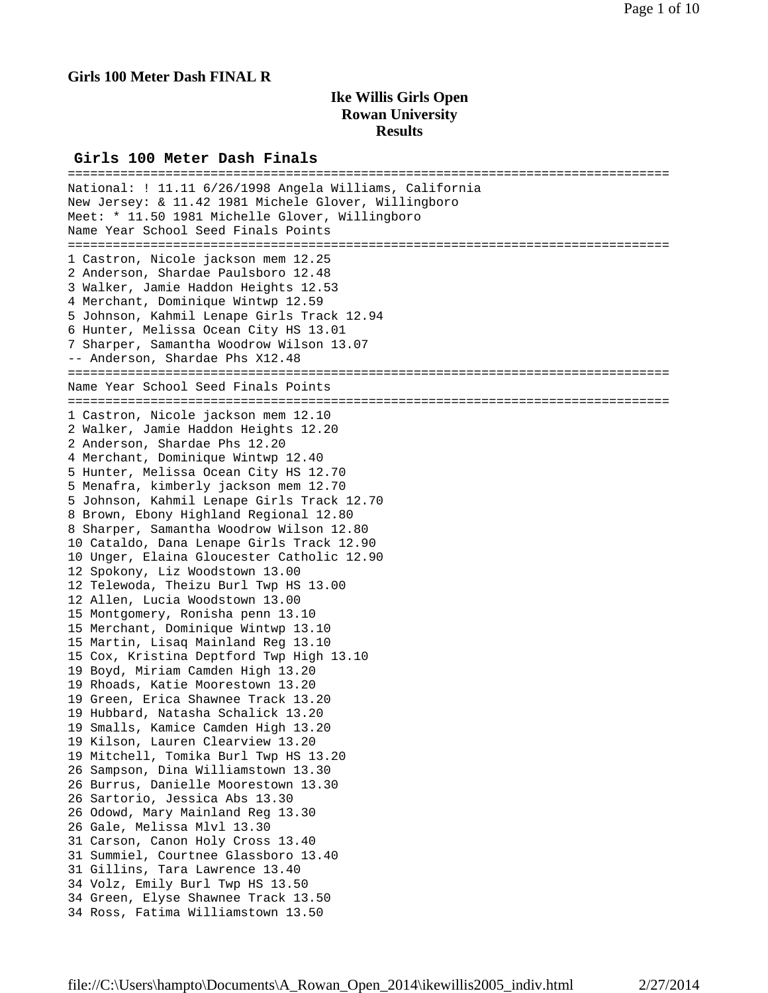# **Girls 100 Meter Dash FINAL R**

# **Ike Willis Girls Open Rowan University Results**

### **Girls 100 Meter Dash Finals**

================================================================================ National: ! 11.11 6/26/1998 Angela Williams, California New Jersey: & 11.42 1981 Michele Glover, Willingboro Meet: \* 11.50 1981 Michelle Glover, Willingboro Name Year School Seed Finals Points ================================================================================ 1 Castron, Nicole jackson mem 12.25 2 Anderson, Shardae Paulsboro 12.48 3 Walker, Jamie Haddon Heights 12.53 4 Merchant, Dominique Wintwp 12.59 5 Johnson, Kahmil Lenape Girls Track 12.94 6 Hunter, Melissa Ocean City HS 13.01 7 Sharper, Samantha Woodrow Wilson 13.07 -- Anderson, Shardae Phs X12.48 ================================================================================ Name Year School Seed Finals Points ================================================================================ 1 Castron, Nicole jackson mem 12.10 2 Walker, Jamie Haddon Heights 12.20 2 Anderson, Shardae Phs 12.20 4 Merchant, Dominique Wintwp 12.40 5 Hunter, Melissa Ocean City HS 12.70 5 Menafra, kimberly jackson mem 12.70 5 Johnson, Kahmil Lenape Girls Track 12.70 8 Brown, Ebony Highland Regional 12.80 8 Sharper, Samantha Woodrow Wilson 12.80 10 Cataldo, Dana Lenape Girls Track 12.90 10 Unger, Elaina Gloucester Catholic 12.90 12 Spokony, Liz Woodstown 13.00 12 Telewoda, Theizu Burl Twp HS 13.00 12 Allen, Lucia Woodstown 13.00 15 Montgomery, Ronisha penn 13.10 15 Merchant, Dominique Wintwp 13.10 15 Martin, Lisaq Mainland Reg 13.10 15 Cox, Kristina Deptford Twp High 13.10 19 Boyd, Miriam Camden High 13.20 19 Rhoads, Katie Moorestown 13.20 19 Green, Erica Shawnee Track 13.20 19 Hubbard, Natasha Schalick 13.20 19 Smalls, Kamice Camden High 13.20 19 Kilson, Lauren Clearview 13.20 19 Mitchell, Tomika Burl Twp HS 13.20 26 Sampson, Dina Williamstown 13.30 26 Burrus, Danielle Moorestown 13.30 26 Sartorio, Jessica Abs 13.30 26 Odowd, Mary Mainland Reg 13.30 26 Gale, Melissa Mlvl 13.30 31 Carson, Canon Holy Cross 13.40 31 Summiel, Courtnee Glassboro 13.40 31 Gillins, Tara Lawrence 13.40 34 Volz, Emily Burl Twp HS 13.50 34 Green, Elyse Shawnee Track 13.50 34 Ross, Fatima Williamstown 13.50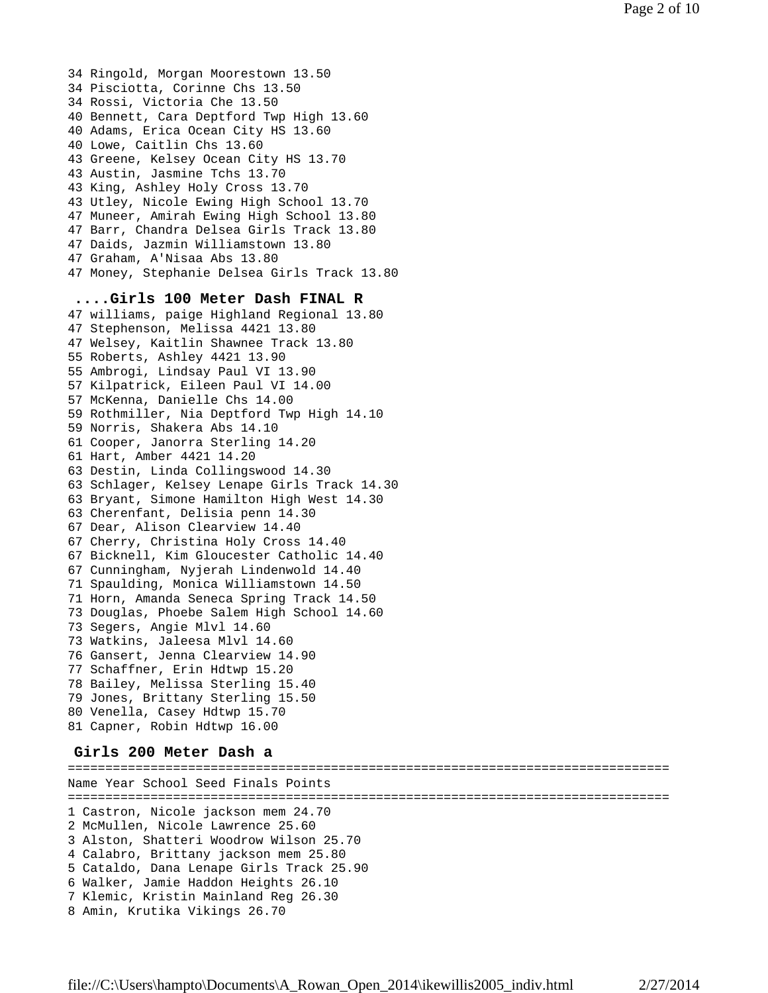34 Ringold, Morgan Moorestown 13.50 34 Pisciotta, Corinne Chs 13.50 34 Rossi, Victoria Che 13.50 40 Bennett, Cara Deptford Twp High 13.60 40 Adams, Erica Ocean City HS 13.60 40 Lowe, Caitlin Chs 13.60 43 Greene, Kelsey Ocean City HS 13.70 43 Austin, Jasmine Tchs 13.70 43 King, Ashley Holy Cross 13.70 43 Utley, Nicole Ewing High School 13.70 47 Muneer, Amirah Ewing High School 13.80 47 Barr, Chandra Delsea Girls Track 13.80 47 Daids, Jazmin Williamstown 13.80 47 Graham, A'Nisaa Abs 13.80 47 Money, Stephanie Delsea Girls Track 13.80 **....Girls 100 Meter Dash FINAL R** 47 williams, paige Highland Regional 13.80 47 Stephenson, Melissa 4421 13.80 47 Welsey, Kaitlin Shawnee Track 13.80 55 Roberts, Ashley 4421 13.90 55 Ambrogi, Lindsay Paul VI 13.90 57 Kilpatrick, Eileen Paul VI 14.00 57 McKenna, Danielle Chs 14.00 59 Rothmiller, Nia Deptford Twp High 14.10 59 Norris, Shakera Abs 14.10 61 Cooper, Janorra Sterling 14.20 61 Hart, Amber 4421 14.20 63 Destin, Linda Collingswood 14.30 63 Schlager, Kelsey Lenape Girls Track 14.30 63 Bryant, Simone Hamilton High West 14.30 63 Cherenfant, Delisia penn 14.30 67 Dear, Alison Clearview 14.40 67 Cherry, Christina Holy Cross 14.40 67 Bicknell, Kim Gloucester Catholic 14.40 67 Cunningham, Nyjerah Lindenwold 14.40 71 Spaulding, Monica Williamstown 14.50 71 Horn, Amanda Seneca Spring Track 14.50 73 Douglas, Phoebe Salem High School 14.60 73 Segers, Angie Mlvl 14.60 73 Watkins, Jaleesa Mlvl 14.60 76 Gansert, Jenna Clearview 14.90 77 Schaffner, Erin Hdtwp 15.20 78 Bailey, Melissa Sterling 15.40 79 Jones, Brittany Sterling 15.50 80 Venella, Casey Hdtwp 15.70 81 Capner, Robin Hdtwp 16.00

# **Girls 200 Meter Dash a**

================================================================================ Name Year School Seed Finals Points ================================================================================ 1 Castron, Nicole jackson mem 24.70 2 McMullen, Nicole Lawrence 25.60 3 Alston, Shatteri Woodrow Wilson 25.70 4 Calabro, Brittany jackson mem 25.80 5 Cataldo, Dana Lenape Girls Track 25.90 6 Walker, Jamie Haddon Heights 26.10 7 Klemic, Kristin Mainland Reg 26.30 8 Amin, Krutika Vikings 26.70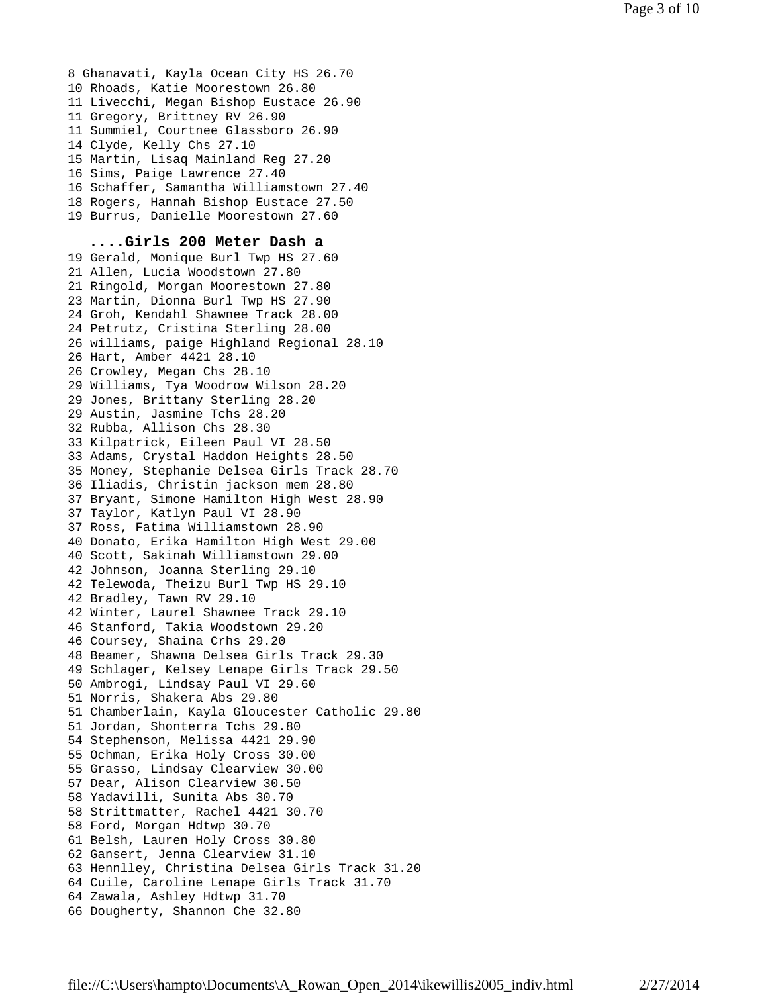8 Ghanavati, Kayla Ocean City HS 26.70 10 Rhoads, Katie Moorestown 26.80 11 Livecchi, Megan Bishop Eustace 26.90 11 Gregory, Brittney RV 26.90 11 Summiel, Courtnee Glassboro 26.90 14 Clyde, Kelly Chs 27.10 15 Martin, Lisaq Mainland Reg 27.20 16 Sims, Paige Lawrence 27.40 16 Schaffer, Samantha Williamstown 27.40 18 Rogers, Hannah Bishop Eustace 27.50 19 Burrus, Danielle Moorestown 27.60

## **....Girls 200 Meter Dash a**

19 Gerald, Monique Burl Twp HS 27.60 21 Allen, Lucia Woodstown 27.80 21 Ringold, Morgan Moorestown 27.80 23 Martin, Dionna Burl Twp HS 27.90 24 Groh, Kendahl Shawnee Track 28.00 24 Petrutz, Cristina Sterling 28.00 26 williams, paige Highland Regional 28.10 26 Hart, Amber 4421 28.10 26 Crowley, Megan Chs 28.10 29 Williams, Tya Woodrow Wilson 28.20 29 Jones, Brittany Sterling 28.20 29 Austin, Jasmine Tchs 28.20 32 Rubba, Allison Chs 28.30 33 Kilpatrick, Eileen Paul VI 28.50 33 Adams, Crystal Haddon Heights 28.50 35 Money, Stephanie Delsea Girls Track 28.70 36 Iliadis, Christin jackson mem 28.80 37 Bryant, Simone Hamilton High West 28.90 37 Taylor, Katlyn Paul VI 28.90 37 Ross, Fatima Williamstown 28.90 40 Donato, Erika Hamilton High West 29.00 40 Scott, Sakinah Williamstown 29.00 42 Johnson, Joanna Sterling 29.10 42 Telewoda, Theizu Burl Twp HS 29.10 42 Bradley, Tawn RV 29.10 42 Winter, Laurel Shawnee Track 29.10 46 Stanford, Takia Woodstown 29.20 46 Coursey, Shaina Crhs 29.20 48 Beamer, Shawna Delsea Girls Track 29.30 49 Schlager, Kelsey Lenape Girls Track 29.50 50 Ambrogi, Lindsay Paul VI 29.60 51 Norris, Shakera Abs 29.80 51 Chamberlain, Kayla Gloucester Catholic 29.80 51 Jordan, Shonterra Tchs 29.80 54 Stephenson, Melissa 4421 29.90 55 Ochman, Erika Holy Cross 30.00 55 Grasso, Lindsay Clearview 30.00 57 Dear, Alison Clearview 30.50 58 Yadavilli, Sunita Abs 30.70 58 Strittmatter, Rachel 4421 30.70 58 Ford, Morgan Hdtwp 30.70 61 Belsh, Lauren Holy Cross 30.80 62 Gansert, Jenna Clearview 31.10 63 Hennlley, Christina Delsea Girls Track 31.20 64 Cuile, Caroline Lenape Girls Track 31.70 64 Zawala, Ashley Hdtwp 31.70 66 Dougherty, Shannon Che 32.80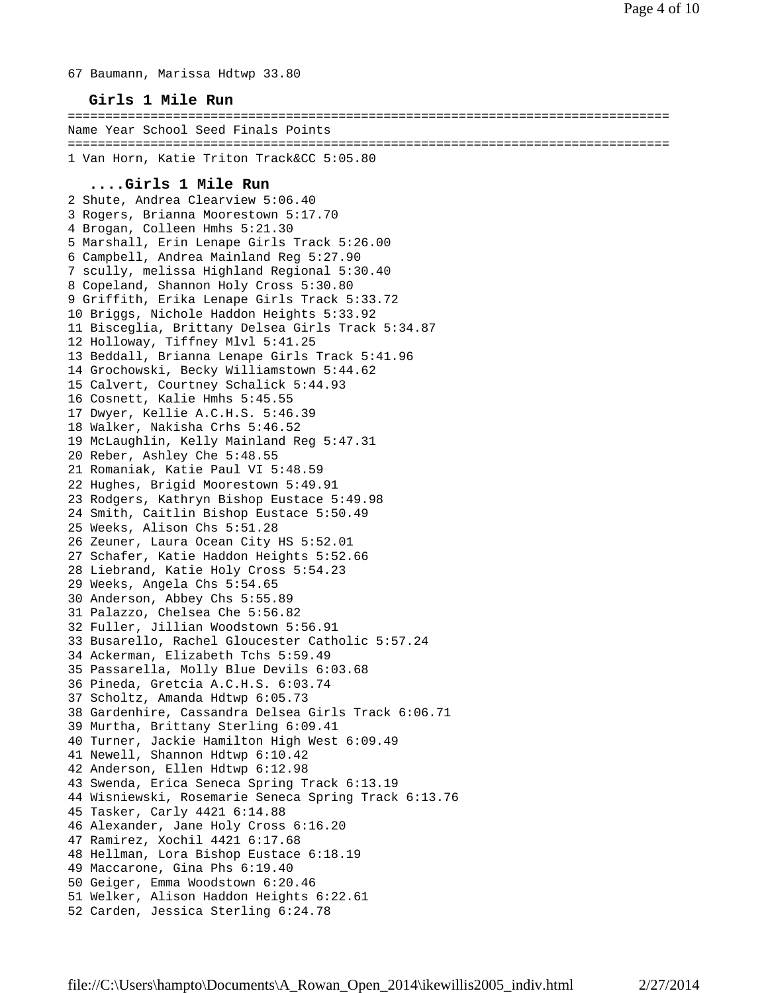67 Baumann, Marissa Hdtwp 33.80

## **Girls 1 Mile Run**

================================================================================ Name Year School Seed Finals Points ================================================================================ 1 Van Horn, Katie Triton Track&CC 5:05.80

## **....Girls 1 Mile Run**

2 Shute, Andrea Clearview 5:06.40 3 Rogers, Brianna Moorestown 5:17.70 4 Brogan, Colleen Hmhs 5:21.30 5 Marshall, Erin Lenape Girls Track 5:26.00 6 Campbell, Andrea Mainland Reg 5:27.90 7 scully, melissa Highland Regional 5:30.40 8 Copeland, Shannon Holy Cross 5:30.80 9 Griffith, Erika Lenape Girls Track 5:33.72 10 Briggs, Nichole Haddon Heights 5:33.92 11 Bisceglia, Brittany Delsea Girls Track 5:34.87 12 Holloway, Tiffney Mlvl 5:41.25 13 Beddall, Brianna Lenape Girls Track 5:41.96 14 Grochowski, Becky Williamstown 5:44.62 15 Calvert, Courtney Schalick 5:44.93 16 Cosnett, Kalie Hmhs 5:45.55 17 Dwyer, Kellie A.C.H.S. 5:46.39 18 Walker, Nakisha Crhs 5:46.52 19 McLaughlin, Kelly Mainland Reg 5:47.31 20 Reber, Ashley Che 5:48.55 21 Romaniak, Katie Paul VI 5:48.59 22 Hughes, Brigid Moorestown 5:49.91 23 Rodgers, Kathryn Bishop Eustace 5:49.98 24 Smith, Caitlin Bishop Eustace 5:50.49 25 Weeks, Alison Chs 5:51.28 26 Zeuner, Laura Ocean City HS 5:52.01 27 Schafer, Katie Haddon Heights 5:52.66 28 Liebrand, Katie Holy Cross 5:54.23 29 Weeks, Angela Chs 5:54.65 30 Anderson, Abbey Chs 5:55.89 31 Palazzo, Chelsea Che 5:56.82 32 Fuller, Jillian Woodstown 5:56.91 33 Busarello, Rachel Gloucester Catholic 5:57.24 34 Ackerman, Elizabeth Tchs 5:59.49 35 Passarella, Molly Blue Devils 6:03.68 36 Pineda, Gretcia A.C.H.S. 6:03.74 37 Scholtz, Amanda Hdtwp 6:05.73 38 Gardenhire, Cassandra Delsea Girls Track 6:06.71 39 Murtha, Brittany Sterling 6:09.41 40 Turner, Jackie Hamilton High West 6:09.49 41 Newell, Shannon Hdtwp 6:10.42 42 Anderson, Ellen Hdtwp 6:12.98 43 Swenda, Erica Seneca Spring Track 6:13.19 44 Wisniewski, Rosemarie Seneca Spring Track 6:13.76 45 Tasker, Carly 4421 6:14.88 46 Alexander, Jane Holy Cross 6:16.20 47 Ramirez, Xochil 4421 6:17.68 48 Hellman, Lora Bishop Eustace 6:18.19 49 Maccarone, Gina Phs 6:19.40 50 Geiger, Emma Woodstown 6:20.46 51 Welker, Alison Haddon Heights 6:22.61 52 Carden, Jessica Sterling 6:24.78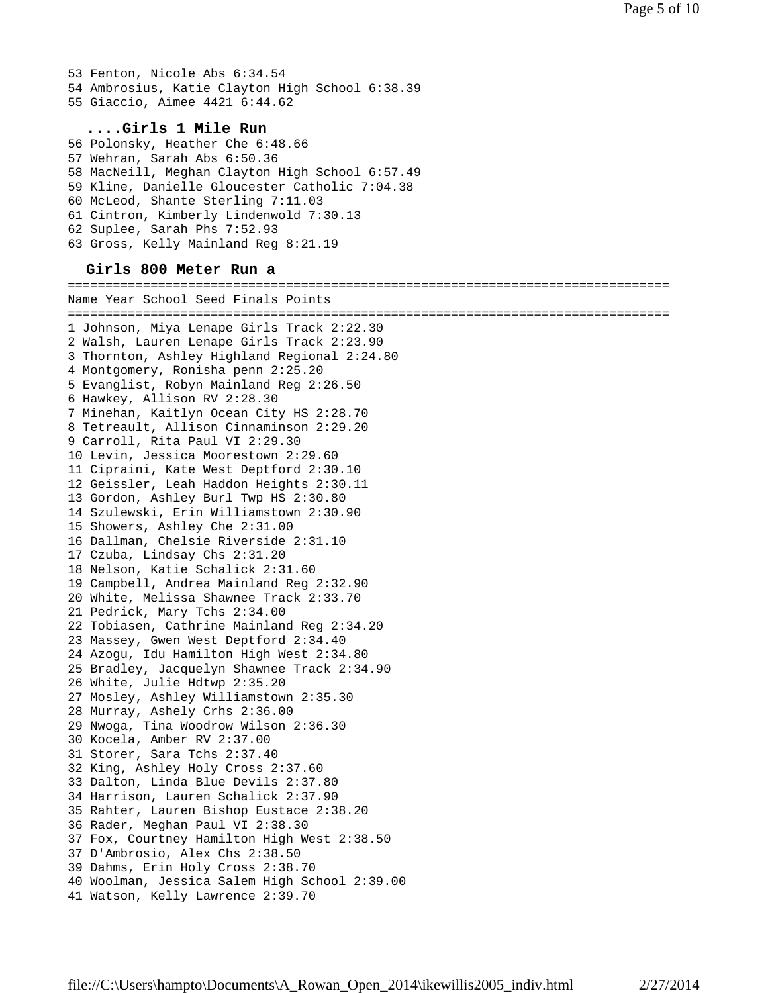53 Fenton, Nicole Abs 6:34.54 54 Ambrosius, Katie Clayton High School 6:38.39 55 Giaccio, Aimee 4421 6:44.62

# **....Girls 1 Mile Run**

56 Polonsky, Heather Che 6:48.66 57 Wehran, Sarah Abs 6:50.36 58 MacNeill, Meghan Clayton High School 6:57.49 59 Kline, Danielle Gloucester Catholic 7:04.38 60 McLeod, Shante Sterling 7:11.03 61 Cintron, Kimberly Lindenwold 7:30.13 62 Suplee, Sarah Phs 7:52.93 63 Gross, Kelly Mainland Reg 8:21.19

### **Girls 800 Meter Run a**

================================================================================ Name Year School Seed Finals Points ================================================================================ 1 Johnson, Miya Lenape Girls Track 2:22.30 2 Walsh, Lauren Lenape Girls Track 2:23.90 3 Thornton, Ashley Highland Regional 2:24.80 4 Montgomery, Ronisha penn 2:25.20 5 Evanglist, Robyn Mainland Reg 2:26.50 6 Hawkey, Allison RV 2:28.30 7 Minehan, Kaitlyn Ocean City HS 2:28.70 8 Tetreault, Allison Cinnaminson 2:29.20 9 Carroll, Rita Paul VI 2:29.30 10 Levin, Jessica Moorestown 2:29.60 11 Cipraini, Kate West Deptford 2:30.10 12 Geissler, Leah Haddon Heights 2:30.11 13 Gordon, Ashley Burl Twp HS 2:30.80 14 Szulewski, Erin Williamstown 2:30.90 15 Showers, Ashley Che 2:31.00 16 Dallman, Chelsie Riverside 2:31.10 17 Czuba, Lindsay Chs 2:31.20 18 Nelson, Katie Schalick 2:31.60 19 Campbell, Andrea Mainland Reg 2:32.90 20 White, Melissa Shawnee Track 2:33.70 21 Pedrick, Mary Tchs 2:34.00 22 Tobiasen, Cathrine Mainland Reg 2:34.20 23 Massey, Gwen West Deptford 2:34.40 24 Azogu, Idu Hamilton High West 2:34.80 25 Bradley, Jacquelyn Shawnee Track 2:34.90 26 White, Julie Hdtwp 2:35.20 27 Mosley, Ashley Williamstown 2:35.30 28 Murray, Ashely Crhs 2:36.00 29 Nwoga, Tina Woodrow Wilson 2:36.30 30 Kocela, Amber RV 2:37.00 31 Storer, Sara Tchs 2:37.40 32 King, Ashley Holy Cross 2:37.60 33 Dalton, Linda Blue Devils 2:37.80 34 Harrison, Lauren Schalick 2:37.90 35 Rahter, Lauren Bishop Eustace 2:38.20 36 Rader, Meghan Paul VI 2:38.30 37 Fox, Courtney Hamilton High West 2:38.50 37 D'Ambrosio, Alex Chs 2:38.50 39 Dahms, Erin Holy Cross 2:38.70 40 Woolman, Jessica Salem High School 2:39.00 41 Watson, Kelly Lawrence 2:39.70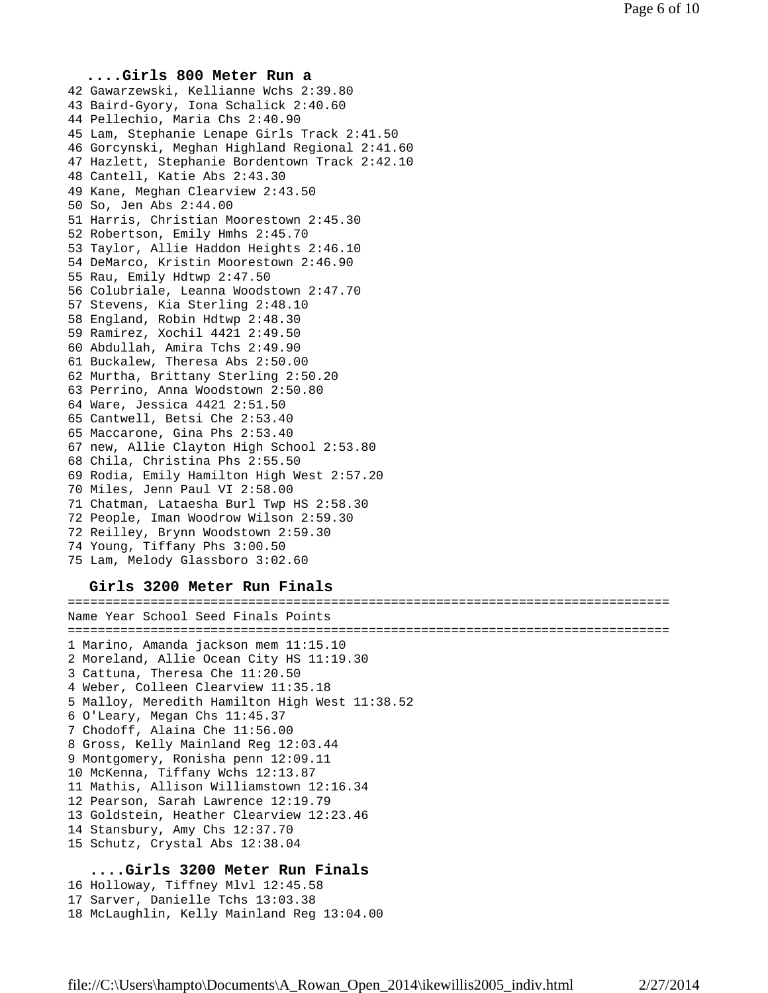# **....Girls 800 Meter Run a** 42 Gawarzewski, Kellianne Wchs 2:39.80 43 Baird-Gyory, Iona Schalick 2:40.60 44 Pellechio, Maria Chs 2:40.90 45 Lam, Stephanie Lenape Girls Track 2:41.50 46 Gorcynski, Meghan Highland Regional 2:41.60 47 Hazlett, Stephanie Bordentown Track 2:42.10 48 Cantell, Katie Abs 2:43.30 49 Kane, Meghan Clearview 2:43.50 50 So, Jen Abs 2:44.00 51 Harris, Christian Moorestown 2:45.30 52 Robertson, Emily Hmhs 2:45.70 53 Taylor, Allie Haddon Heights 2:46.10 54 DeMarco, Kristin Moorestown 2:46.90 55 Rau, Emily Hdtwp 2:47.50 56 Colubriale, Leanna Woodstown 2:47.70 57 Stevens, Kia Sterling 2:48.10 58 England, Robin Hdtwp 2:48.30 59 Ramirez, Xochil 4421 2:49.50 60 Abdullah, Amira Tchs 2:49.90 61 Buckalew, Theresa Abs 2:50.00 62 Murtha, Brittany Sterling 2:50.20 63 Perrino, Anna Woodstown 2:50.80 64 Ware, Jessica 4421 2:51.50 65 Cantwell, Betsi Che 2:53.40 65 Maccarone, Gina Phs 2:53.40 67 new, Allie Clayton High School 2:53.80 68 Chila, Christina Phs 2:55.50 69 Rodia, Emily Hamilton High West 2:57.20 70 Miles, Jenn Paul VI 2:58.00 71 Chatman, Lataesha Burl Twp HS 2:58.30 72 People, Iman Woodrow Wilson 2:59.30 72 Reilley, Brynn Woodstown 2:59.30 74 Young, Tiffany Phs 3:00.50 75 Lam, Melody Glassboro 3:02.60

# **Girls 3200 Meter Run Finals**

================================================================================ Name Year School Seed Finals Points ================================================================================ 1 Marino, Amanda jackson mem 11:15.10 2 Moreland, Allie Ocean City HS 11:19.30 3 Cattuna, Theresa Che 11:20.50 4 Weber, Colleen Clearview 11:35.18 5 Malloy, Meredith Hamilton High West 11:38.52 6 O'Leary, Megan Chs 11:45.37 7 Chodoff, Alaina Che 11:56.00 8 Gross, Kelly Mainland Reg 12:03.44 9 Montgomery, Ronisha penn 12:09.11 10 McKenna, Tiffany Wchs 12:13.87 11 Mathis, Allison Williamstown 12:16.34 12 Pearson, Sarah Lawrence 12:19.79 13 Goldstein, Heather Clearview 12:23.46 14 Stansbury, Amy Chs 12:37.70 15 Schutz, Crystal Abs 12:38.04 **....Girls 3200 Meter Run Finals**

# 16 Holloway, Tiffney Mlvl 12:45.58 17 Sarver, Danielle Tchs 13:03.38 18 McLaughlin, Kelly Mainland Reg 13:04.00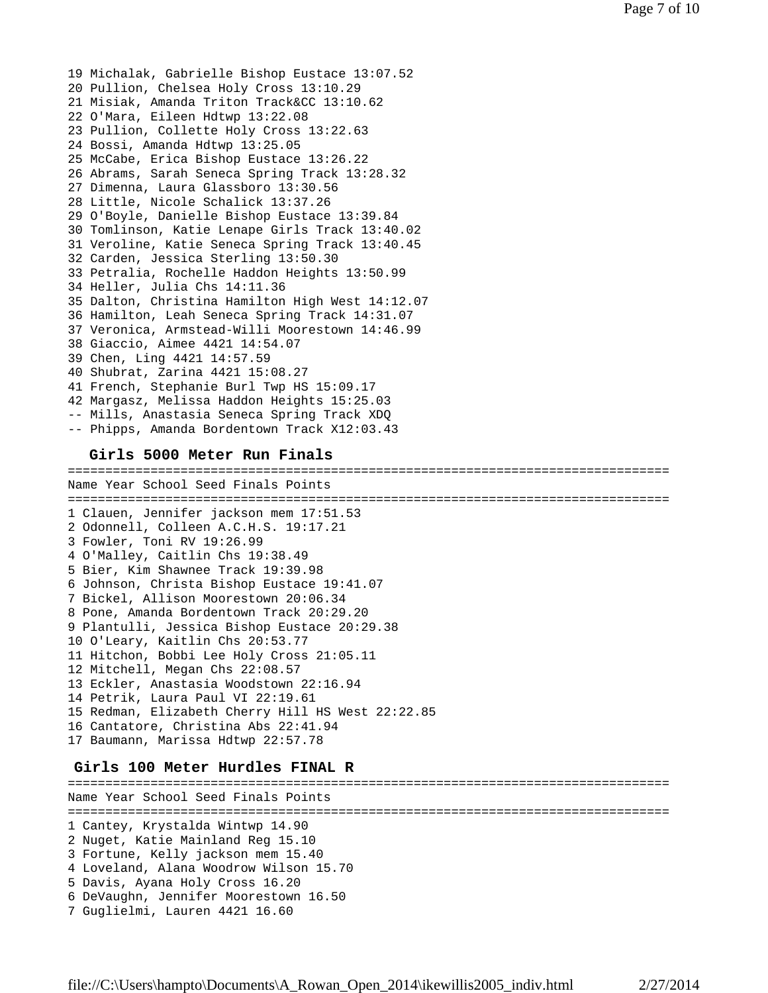19 Michalak, Gabrielle Bishop Eustace 13:07.52 20 Pullion, Chelsea Holy Cross 13:10.29 21 Misiak, Amanda Triton Track&CC 13:10.62 22 O'Mara, Eileen Hdtwp 13:22.08 23 Pullion, Collette Holy Cross 13:22.63 24 Bossi, Amanda Hdtwp 13:25.05 25 McCabe, Erica Bishop Eustace 13:26.22 26 Abrams, Sarah Seneca Spring Track 13:28.32 27 Dimenna, Laura Glassboro 13:30.56 28 Little, Nicole Schalick 13:37.26 29 O'Boyle, Danielle Bishop Eustace 13:39.84 30 Tomlinson, Katie Lenape Girls Track 13:40.02 31 Veroline, Katie Seneca Spring Track 13:40.45 32 Carden, Jessica Sterling 13:50.30 33 Petralia, Rochelle Haddon Heights 13:50.99 34 Heller, Julia Chs 14:11.36 35 Dalton, Christina Hamilton High West 14:12.07 36 Hamilton, Leah Seneca Spring Track 14:31.07 37 Veronica, Armstead-Willi Moorestown 14:46.99 38 Giaccio, Aimee 4421 14:54.07 39 Chen, Ling 4421 14:57.59 40 Shubrat, Zarina 4421 15:08.27 41 French, Stephanie Burl Twp HS 15:09.17 42 Margasz, Melissa Haddon Heights 15:25.03 -- Mills, Anastasia Seneca Spring Track XDQ -- Phipps, Amanda Bordentown Track X12:03.43

### **Girls 5000 Meter Run Finals**

================================================================================ Name Year School Seed Finals Points ================================================================================ 1 Clauen, Jennifer jackson mem 17:51.53 2 Odonnell, Colleen A.C.H.S. 19:17.21 3 Fowler, Toni RV 19:26.99 4 O'Malley, Caitlin Chs 19:38.49 5 Bier, Kim Shawnee Track 19:39.98 6 Johnson, Christa Bishop Eustace 19:41.07 7 Bickel, Allison Moorestown 20:06.34 8 Pone, Amanda Bordentown Track 20:29.20 9 Plantulli, Jessica Bishop Eustace 20:29.38 10 O'Leary, Kaitlin Chs 20:53.77 11 Hitchon, Bobbi Lee Holy Cross 21:05.11 12 Mitchell, Megan Chs 22:08.57 13 Eckler, Anastasia Woodstown 22:16.94 14 Petrik, Laura Paul VI 22:19.61 15 Redman, Elizabeth Cherry Hill HS West 22:22.85 16 Cantatore, Christina Abs 22:41.94 17 Baumann, Marissa Hdtwp 22:57.78

## **Girls 100 Meter Hurdles FINAL R**

================================================================================ Name Year School Seed Finals Points ================================================================================ 1 Cantey, Krystalda Wintwp 14.90 2 Nuget, Katie Mainland Reg 15.10 3 Fortune, Kelly jackson mem 15.40 4 Loveland, Alana Woodrow Wilson 15.70 5 Davis, Ayana Holy Cross 16.20 6 DeVaughn, Jennifer Moorestown 16.50 7 Guglielmi, Lauren 4421 16.60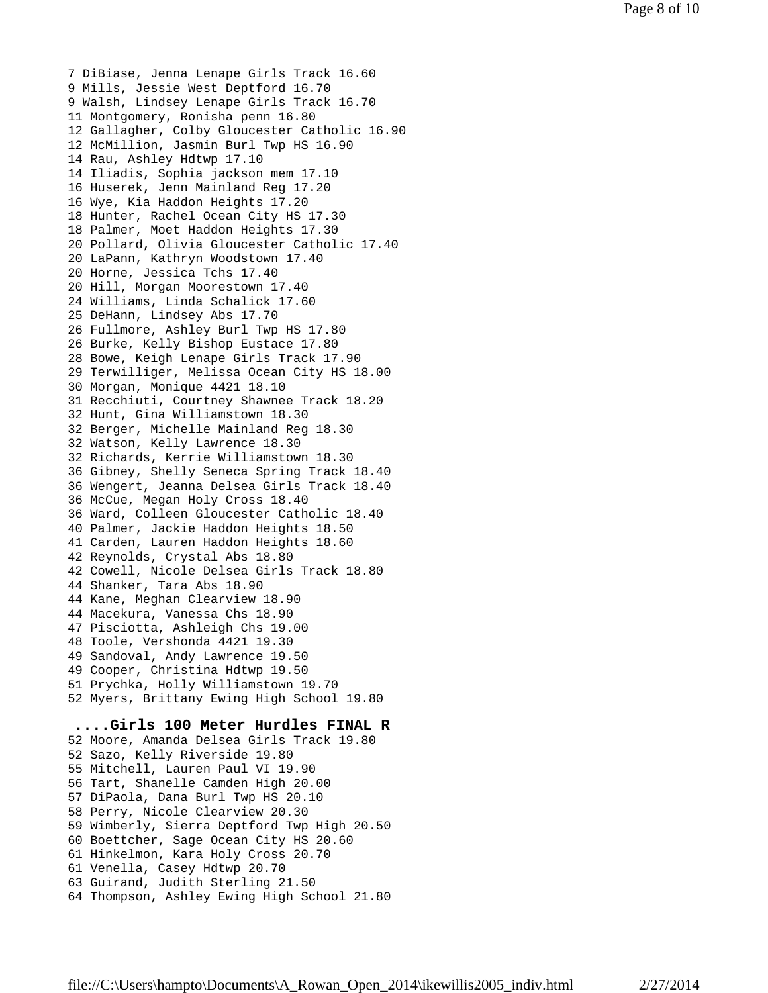7 DiBiase, Jenna Lenape Girls Track 16.60 9 Mills, Jessie West Deptford 16.70 9 Walsh, Lindsey Lenape Girls Track 16.70 11 Montgomery, Ronisha penn 16.80 12 Gallagher, Colby Gloucester Catholic 16.90 12 McMillion, Jasmin Burl Twp HS 16.90 14 Rau, Ashley Hdtwp 17.10 14 Iliadis, Sophia jackson mem 17.10 16 Huserek, Jenn Mainland Reg 17.20 16 Wye, Kia Haddon Heights 17.20 18 Hunter, Rachel Ocean City HS 17.30 18 Palmer, Moet Haddon Heights 17.30 20 Pollard, Olivia Gloucester Catholic 17.40 20 LaPann, Kathryn Woodstown 17.40 20 Horne, Jessica Tchs 17.40 20 Hill, Morgan Moorestown 17.40 24 Williams, Linda Schalick 17.60 25 DeHann, Lindsey Abs 17.70 26 Fullmore, Ashley Burl Twp HS 17.80 26 Burke, Kelly Bishop Eustace 17.80 28 Bowe, Keigh Lenape Girls Track 17.90 29 Terwilliger, Melissa Ocean City HS 18.00 30 Morgan, Monique 4421 18.10 31 Recchiuti, Courtney Shawnee Track 18.20 32 Hunt, Gina Williamstown 18.30 32 Berger, Michelle Mainland Reg 18.30 32 Watson, Kelly Lawrence 18.30 32 Richards, Kerrie Williamstown 18.30 36 Gibney, Shelly Seneca Spring Track 18.40 36 Wengert, Jeanna Delsea Girls Track 18.40 36 McCue, Megan Holy Cross 18.40 36 Ward, Colleen Gloucester Catholic 18.40 40 Palmer, Jackie Haddon Heights 18.50 41 Carden, Lauren Haddon Heights 18.60 42 Reynolds, Crystal Abs 18.80 42 Cowell, Nicole Delsea Girls Track 18.80 44 Shanker, Tara Abs 18.90 44 Kane, Meghan Clearview 18.90 44 Macekura, Vanessa Chs 18.90 47 Pisciotta, Ashleigh Chs 19.00 48 Toole, Vershonda 4421 19.30 49 Sandoval, Andy Lawrence 19.50 49 Cooper, Christina Hdtwp 19.50 51 Prychka, Holly Williamstown 19.70 52 Myers, Brittany Ewing High School 19.80 **....Girls 100 Meter Hurdles FINAL R** 52 Moore, Amanda Delsea Girls Track 19.80 52 Sazo, Kelly Riverside 19.80 55 Mitchell, Lauren Paul VI 19.90 56 Tart, Shanelle Camden High 20.00 57 DiPaola, Dana Burl Twp HS 20.10 58 Perry, Nicole Clearview 20.30

59 Wimberly, Sierra Deptford Twp High 20.50

60 Boettcher, Sage Ocean City HS 20.60

61 Hinkelmon, Kara Holy Cross 20.70

61 Venella, Casey Hdtwp 20.70

63 Guirand, Judith Sterling 21.50

64 Thompson, Ashley Ewing High School 21.80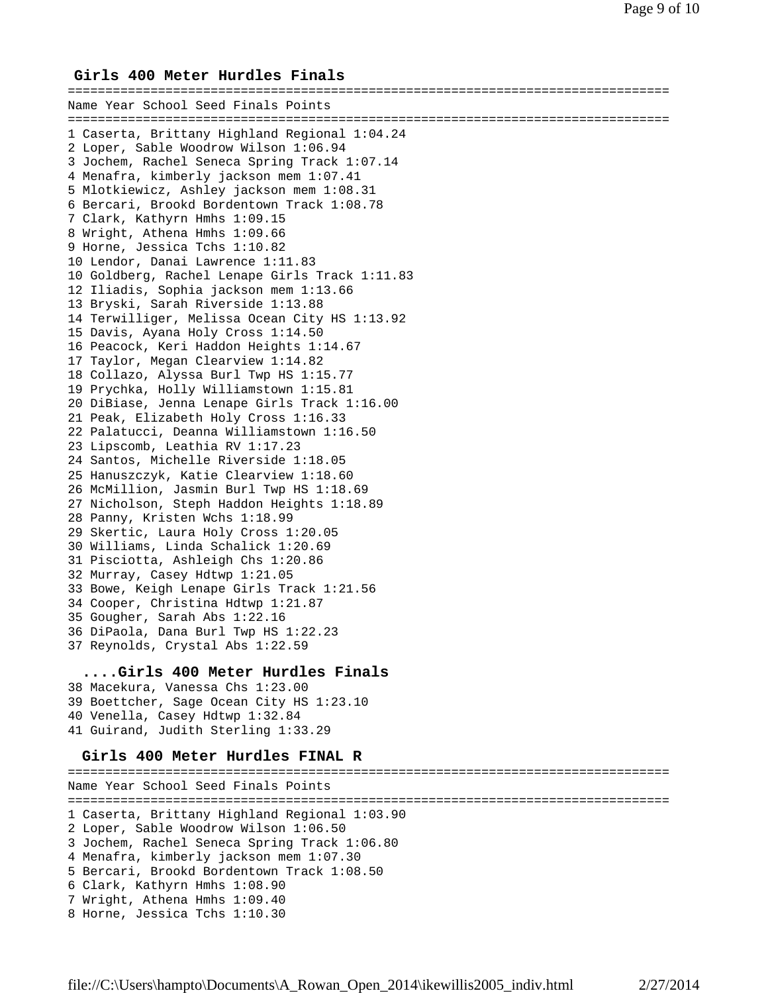## **Girls 400 Meter Hurdles Finals**

================================================================================ Name Year School Seed Finals Points ================================================================================ 1 Caserta, Brittany Highland Regional 1:04.24 2 Loper, Sable Woodrow Wilson 1:06.94 3 Jochem, Rachel Seneca Spring Track 1:07.14 4 Menafra, kimberly jackson mem 1:07.41 5 Mlotkiewicz, Ashley jackson mem 1:08.31 6 Bercari, Brookd Bordentown Track 1:08.78 7 Clark, Kathyrn Hmhs 1:09.15 8 Wright, Athena Hmhs 1:09.66 9 Horne, Jessica Tchs 1:10.82 10 Lendor, Danai Lawrence 1:11.83 10 Goldberg, Rachel Lenape Girls Track 1:11.83 12 Iliadis, Sophia jackson mem 1:13.66 13 Bryski, Sarah Riverside 1:13.88 14 Terwilliger, Melissa Ocean City HS 1:13.92 15 Davis, Ayana Holy Cross 1:14.50 16 Peacock, Keri Haddon Heights 1:14.67 17 Taylor, Megan Clearview 1:14.82 18 Collazo, Alyssa Burl Twp HS 1:15.77 19 Prychka, Holly Williamstown 1:15.81 20 DiBiase, Jenna Lenape Girls Track 1:16.00 21 Peak, Elizabeth Holy Cross 1:16.33 22 Palatucci, Deanna Williamstown 1:16.50 23 Lipscomb, Leathia RV 1:17.23 24 Santos, Michelle Riverside 1:18.05 25 Hanuszczyk, Katie Clearview 1:18.60 26 McMillion, Jasmin Burl Twp HS 1:18.69 27 Nicholson, Steph Haddon Heights 1:18.89 28 Panny, Kristen Wchs 1:18.99 29 Skertic, Laura Holy Cross 1:20.05 30 Williams, Linda Schalick 1:20.69 31 Pisciotta, Ashleigh Chs 1:20.86 32 Murray, Casey Hdtwp 1:21.05 33 Bowe, Keigh Lenape Girls Track 1:21.56 34 Cooper, Christina Hdtwp 1:21.87 35 Gougher, Sarah Abs 1:22.16 36 DiPaola, Dana Burl Twp HS 1:22.23 37 Reynolds, Crystal Abs 1:22.59

## **....Girls 400 Meter Hurdles Finals**

38 Macekura, Vanessa Chs 1:23.00 39 Boettcher, Sage Ocean City HS 1:23.10 40 Venella, Casey Hdtwp 1:32.84 41 Guirand, Judith Sterling 1:33.29

# **Girls 400 Meter Hurdles FINAL R**

================================================================================ Name Year School Seed Finals Points ================================================================================ 1 Caserta, Brittany Highland Regional 1:03.90 2 Loper, Sable Woodrow Wilson 1:06.50 3 Jochem, Rachel Seneca Spring Track 1:06.80 4 Menafra, kimberly jackson mem 1:07.30 5 Bercari, Brookd Bordentown Track 1:08.50 6 Clark, Kathyrn Hmhs 1:08.90 7 Wright, Athena Hmhs 1:09.40 8 Horne, Jessica Tchs 1:10.30